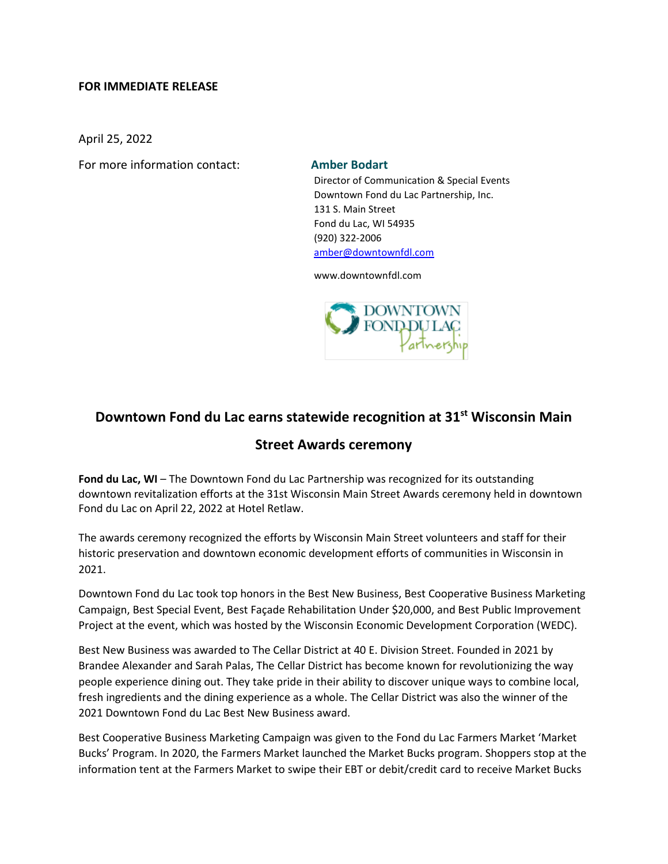# **FOR IMMEDIATE RELEASE**

April 25, 2022

For more information contact: **Amber Bodart**

Director of Communication & Special Events Downtown Fond du Lac Partnership, Inc. 131 S. Main Street Fond du Lac, WI 54935 (920) 322-2006 [amber@downtownfdl.com](mailto:amber@downtownfdl.com)

www.downtownfdl.com



# **Downtown Fond du Lac earns statewide recognition at 31st Wisconsin Main**

# **Street Awards ceremony**

**Fond du Lac, WI** – The Downtown Fond du Lac Partnership was recognized for its outstanding downtown revitalization efforts at the 31st Wisconsin Main Street Awards ceremony held in downtown Fond du Lac on April 22, 2022 at Hotel Retlaw.

The awards ceremony recognized the efforts by Wisconsin Main Street volunteers and staff for their historic preservation and downtown economic development efforts of communities in Wisconsin in 2021.

Downtown Fond du Lac took top honors in the Best New Business, Best Cooperative Business Marketing Campaign, Best Special Event, Best Façade Rehabilitation Under \$20,000, and Best Public Improvement Project at the event, which was hosted by the Wisconsin Economic Development Corporation (WEDC).

Best New Business was awarded to The Cellar District at 40 E. Division Street. Founded in 2021 by Brandee Alexander and Sarah Palas, The Cellar District has become known for revolutionizing the way people experience dining out. They take pride in their ability to discover unique ways to combine local, fresh ingredients and the dining experience as a whole. The Cellar District was also the winner of the 2021 Downtown Fond du Lac Best New Business award.

Best Cooperative Business Marketing Campaign was given to the Fond du Lac Farmers Market 'Market Bucks' Program. In 2020, the Farmers Market launched the Market Bucks program. Shoppers stop at the information tent at the Farmers Market to swipe their EBT or debit/credit card to receive Market Bucks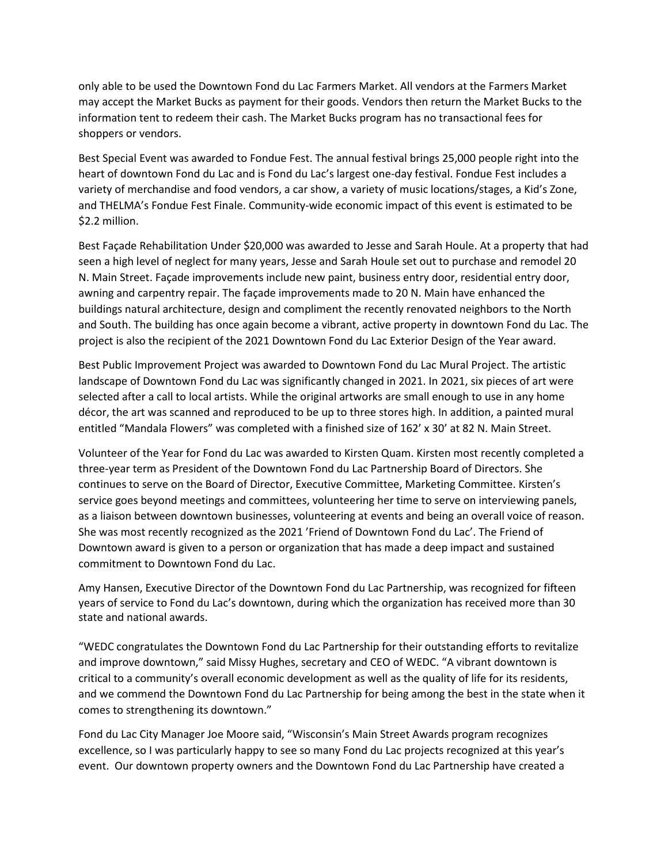only able to be used the Downtown Fond du Lac Farmers Market. All vendors at the Farmers Market may accept the Market Bucks as payment for their goods. Vendors then return the Market Bucks to the information tent to redeem their cash. The Market Bucks program has no transactional fees for shoppers or vendors.

Best Special Event was awarded to Fondue Fest. The annual festival brings 25,000 people right into the heart of downtown Fond du Lac and is Fond du Lac's largest one-day festival. Fondue Fest includes a variety of merchandise and food vendors, a car show, a variety of music locations/stages, a Kid's Zone, and THELMA's Fondue Fest Finale. Community-wide economic impact of this event is estimated to be \$2.2 million.

Best Façade Rehabilitation Under \$20,000 was awarded to Jesse and Sarah Houle. At a property that had seen a high level of neglect for many years, Jesse and Sarah Houle set out to purchase and remodel 20 N. Main Street. Façade improvements include new paint, business entry door, residential entry door, awning and carpentry repair. The façade improvements made to 20 N. Main have enhanced the buildings natural architecture, design and compliment the recently renovated neighbors to the North and South. The building has once again become a vibrant, active property in downtown Fond du Lac. The project is also the recipient of the 2021 Downtown Fond du Lac Exterior Design of the Year award.

Best Public Improvement Project was awarded to Downtown Fond du Lac Mural Project. The artistic landscape of Downtown Fond du Lac was significantly changed in 2021. In 2021, six pieces of art were selected after a call to local artists. While the original artworks are small enough to use in any home décor, the art was scanned and reproduced to be up to three stores high. In addition, a painted mural entitled "Mandala Flowers" was completed with a finished size of 162' x 30' at 82 N. Main Street.

Volunteer of the Year for Fond du Lac was awarded to Kirsten Quam. Kirsten most recently completed a three-year term as President of the Downtown Fond du Lac Partnership Board of Directors. She continues to serve on the Board of Director, Executive Committee, Marketing Committee. Kirsten's service goes beyond meetings and committees, volunteering her time to serve on interviewing panels, as a liaison between downtown businesses, volunteering at events and being an overall voice of reason. She was most recently recognized as the 2021 'Friend of Downtown Fond du Lac'. The Friend of Downtown award is given to a person or organization that has made a deep impact and sustained commitment to Downtown Fond du Lac.

Amy Hansen, Executive Director of the Downtown Fond du Lac Partnership, was recognized for fifteen years of service to Fond du Lac's downtown, during which the organization has received more than 30 state and national awards.

"WEDC congratulates the Downtown Fond du Lac Partnership for their outstanding efforts to revitalize and improve downtown," said Missy Hughes, secretary and CEO of WEDC. "A vibrant downtown is critical to a community's overall economic development as well as the quality of life for its residents, and we commend the Downtown Fond du Lac Partnership for being among the best in the state when it comes to strengthening its downtown."

Fond du Lac City Manager Joe Moore said, "Wisconsin's Main Street Awards program recognizes excellence, so I was particularly happy to see so many Fond du Lac projects recognized at this year's event. Our downtown property owners and the Downtown Fond du Lac Partnership have created a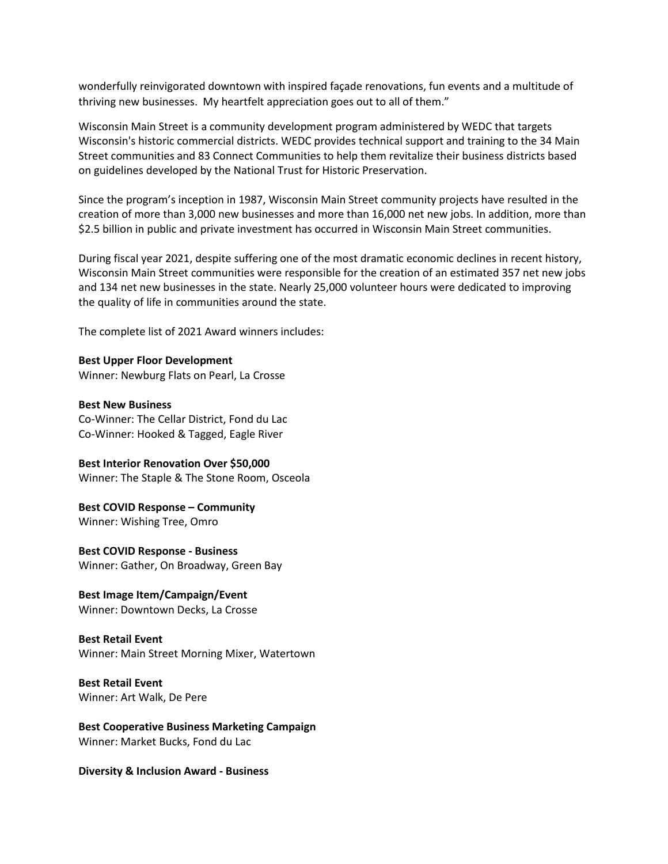wonderfully reinvigorated downtown with inspired façade renovations, fun events and a multitude of thriving new businesses. My heartfelt appreciation goes out to all of them."

Wisconsin Main Street is a community development program administered by WEDC that targets Wisconsin's historic commercial districts. WEDC provides technical support and training to the 34 Main Street communities and 83 Connect Communities to help them revitalize their business districts based on guidelines developed by the National Trust for Historic Preservation.

Since the program's inception in 1987, Wisconsin Main Street community projects have resulted in the creation of more than 3,000 new businesses and more than 16,000 net new jobs. In addition, more than \$2.5 billion in public and private investment has occurred in Wisconsin Main Street communities.

During fiscal year 2021, despite suffering one of the most dramatic economic declines in recent history, Wisconsin Main Street communities were responsible for the creation of an estimated 357 net new jobs and 134 net new businesses in the state. Nearly 25,000 volunteer hours were dedicated to improving the quality of life in communities around the state.

The complete list of 2021 Award winners includes:

**Best Upper Floor Development** Winner: Newburg Flats on Pearl, La Crosse

**Best New Business** Co-Winner: The Cellar District, Fond du Lac Co-Winner: Hooked & Tagged, Eagle River

**Best Interior Renovation Over \$50,000** Winner: The Staple & The Stone Room, Osceola

**Best COVID Response – Community**

Winner: Wishing Tree, Omro

**Best COVID Response - Business** Winner: Gather, On Broadway, Green Bay

**Best Image Item/Campaign/Event**

Winner: Downtown Decks, La Crosse

#### **Best Retail Event**

Winner: Main Street Morning Mixer, Watertown

**Best Retail Event** Winner: Art Walk, De Pere

**Best Cooperative Business Marketing Campaign** Winner: Market Bucks, Fond du Lac

**Diversity & Inclusion Award - Business**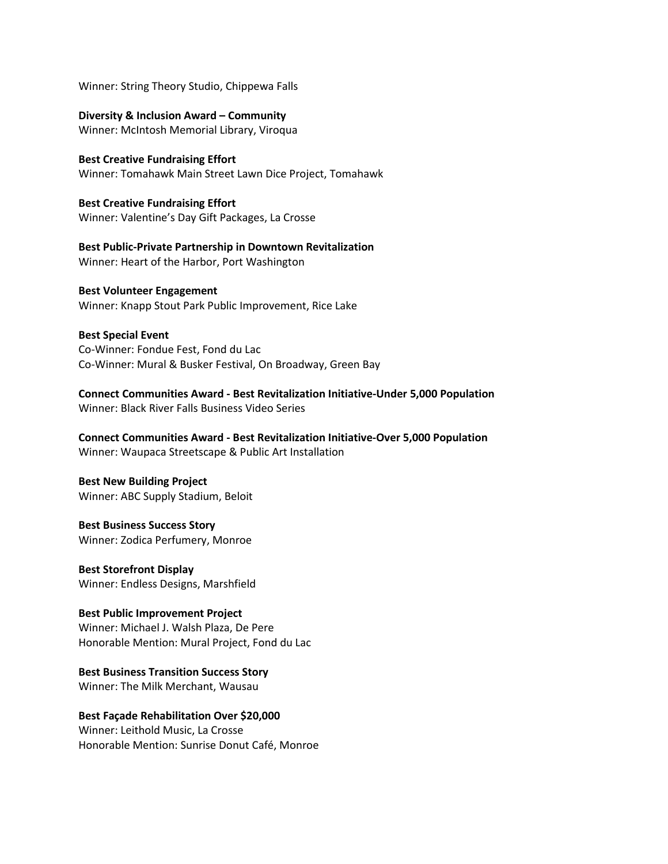Winner: String Theory Studio, Chippewa Falls

**Diversity & Inclusion Award – Community** Winner: McIntosh Memorial Library, Viroqua

**Best Creative Fundraising Effort** Winner: Tomahawk Main Street Lawn Dice Project, Tomahawk

**Best Creative Fundraising Effort** Winner: Valentine's Day Gift Packages, La Crosse

**Best Public-Private Partnership in Downtown Revitalization**  Winner: Heart of the Harbor, Port Washington

**Best Volunteer Engagement** Winner: Knapp Stout Park Public Improvement, Rice Lake

**Best Special Event** Co-Winner: Fondue Fest, Fond du Lac Co-Winner: Mural & Busker Festival, On Broadway, Green Bay

**Connect Communities Award - Best Revitalization Initiative-Under 5,000 Population** Winner: Black River Falls Business Video Series

**Connect Communities Award - Best Revitalization Initiative-Over 5,000 Population** Winner: Waupaca Streetscape & Public Art Installation

**Best New Building Project** Winner: ABC Supply Stadium, Beloit

**Best Business Success Story** Winner: Zodica Perfumery, Monroe

**Best Storefront Display** Winner: Endless Designs, Marshfield

**Best Public Improvement Project** Winner: Michael J. Walsh Plaza, De Pere Honorable Mention: Mural Project, Fond du Lac

**Best Business Transition Success Story** Winner: The Milk Merchant, Wausau

**Best Façade Rehabilitation Over \$20,000** Winner: Leithold Music, La Crosse Honorable Mention: Sunrise Donut Café, Monroe